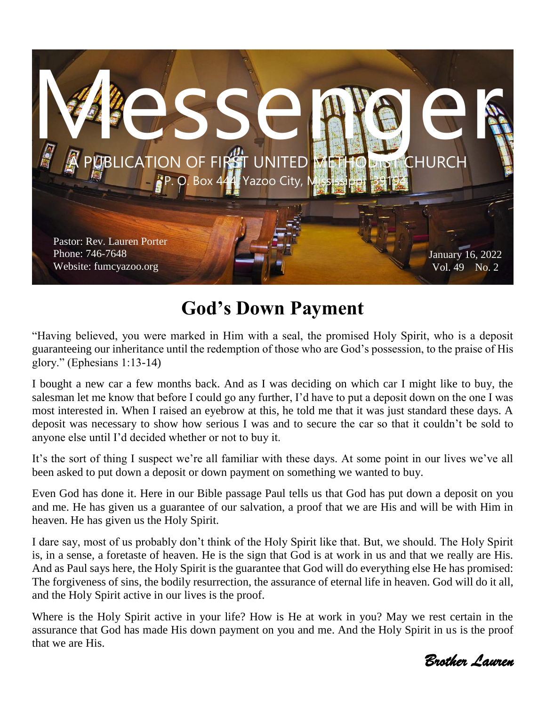

## **God's Down Payment**

"Having believed, you were marked in Him with a seal, the promised Holy Spirit, who is a deposit guaranteeing our inheritance until the redemption of those who are God's possession, to the praise of His glory." (Ephesians 1:13-14)

I bought a new car a few months back. And as I was deciding on which car I might like to buy, the salesman let me know that before I could go any further, I'd have to put a deposit down on the one I was most interested in. When I raised an eyebrow at this, he told me that it was just standard these days. A deposit was necessary to show how serious I was and to secure the car so that it couldn't be sold to anyone else until I'd decided whether or not to buy it.

It's the sort of thing I suspect we're all familiar with these days. At some point in our lives we've all been asked to put down a deposit or down payment on something we wanted to buy.

Even God has done it. Here in our Bible passage Paul tells us that God has put down a deposit on you and me. He has given us a guarantee of our salvation, a proof that we are His and will be with Him in heaven. He has given us the Holy Spirit.

I dare say, most of us probably don't think of the Holy Spirit like that. But, we should. The Holy Spirit is, in a sense, a foretaste of heaven. He is the sign that God is at work in us and that we really are His. And as Paul says here, the Holy Spirit is the guarantee that God will do everything else He has promised: The forgiveness of sins, the bodily resurrection, the assurance of eternal life in heaven. God will do it all, and the Holy Spirit active in our lives is the proof.

Where is the Holy Spirit active in your life? How is He at work in you? May we rest certain in the assurance that God has made His down payment on you and me. And the Holy Spirit in us is the proof that we are His.

*Brother Lauren*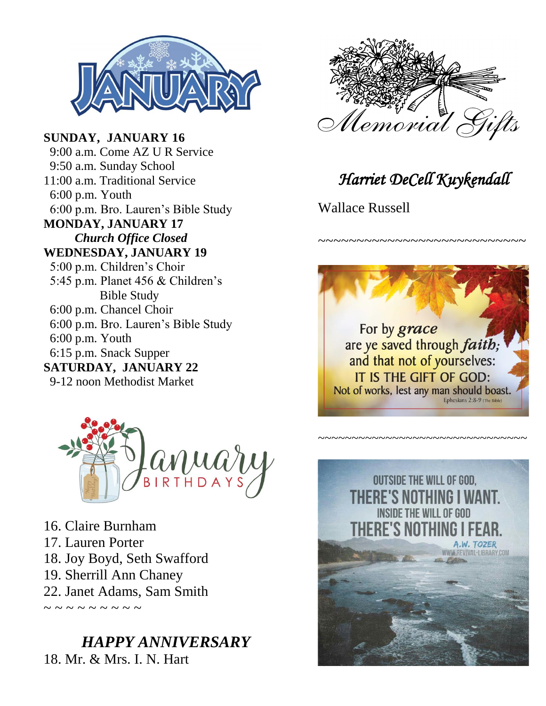

**SUNDAY, JANUARY 16** 9:00 a.m. Come AZ U R Service 9:50 a.m. Sunday School 11:00 a.m. Traditional Service 6:00 p.m. Youth 6:00 p.m. Bro. Lauren's Bible Study **MONDAY, JANUARY 17** *Church Office Closed* **WEDNESDAY, JANUARY 19** 5:00 p.m. Children's Choir 5:45 p.m. Planet 456 & Children's Bible Study 6:00 p.m. Chancel Choir 6:00 p.m. Bro. Lauren's Bible Study 6:00 p.m. Youth 6:15 p.m. Snack Supper **SATURDAY, JANUARY 22** 9-12 noon Methodist Market



16. Claire Burnham 17. Lauren Porter 18. Joy Boyd, Seth Swafford 19. Sherrill Ann Chaney 22. Janet Adams, Sam Smith ~ ~ ~ ~ ~ ~ ~ ~ ~

### *HAPPY ANNIVERSARY* 18. Mr. & Mrs. I. N. Hart



*Harriet DeCell Kuykendall* 

~~~~~~~~~~~~~~~~~~~~~~~~~~~~

Wallace Russell



~~~~~~~~~~~~~~~~~~~~~~~~~~~~~

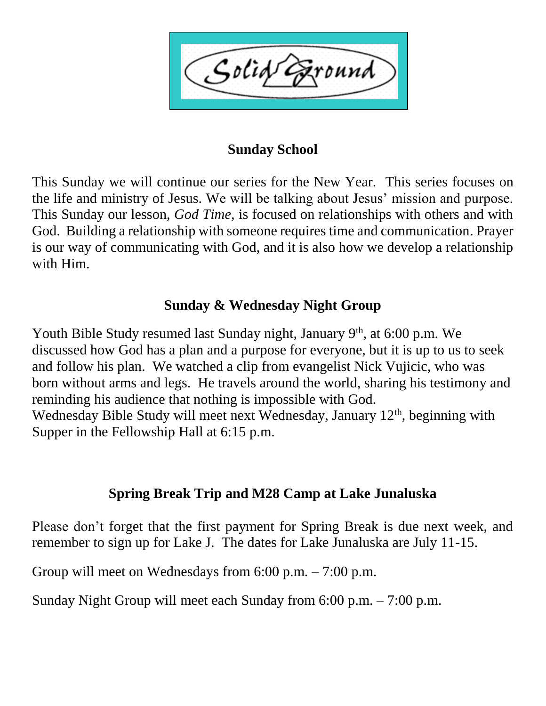Solid ound

#### **Sunday School**

This Sunday we will continue our series for the New Year. This series focuses on the life and ministry of Jesus. We will be talking about Jesus' mission and purpose. This Sunday our lesson, *God Time,* is focused on relationships with others and with God. Building a relationship with someone requires time and communication. Prayer is our way of communicating with God, and it is also how we develop a relationship with Him.

#### **Sunday & Wednesday Night Group**

Youth Bible Study resumed last Sunday night, January 9<sup>th</sup>, at 6:00 p.m. We discussed how God has a plan and a purpose for everyone, but it is up to us to seek and follow his plan. We watched a clip from evangelist Nick Vujicic, who was born without arms and legs. He travels around the world, sharing his testimony and reminding his audience that nothing is impossible with God. Wednesday Bible Study will meet next Wednesday, January  $12<sup>th</sup>$ , beginning with Supper in the Fellowship Hall at 6:15 p.m.

#### **Spring Break Trip and M28 Camp at Lake Junaluska**

Please don't forget that the first payment for Spring Break is due next week, and remember to sign up for Lake J. The dates for Lake Junaluska are July 11-15.

Group will meet on Wednesdays from 6:00 p.m. – 7:00 p.m.

Sunday Night Group will meet each Sunday from 6:00 p.m. – 7:00 p.m.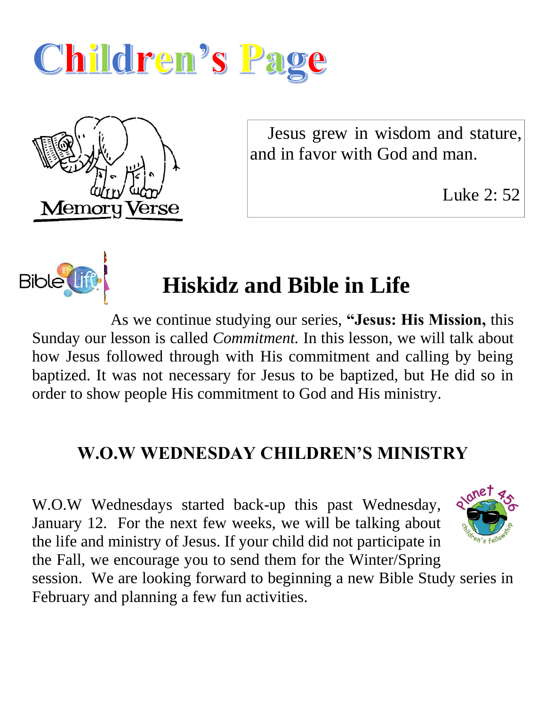



 Jesus grew in wisdom and stature, and in favor with God and man.

Luke 2: 52



# **Hiskidz and Bible in Life**

As we continue studying our series, **"Jesus: His Mission,** this Sunday our lesson is called *Commitment.* In this lesson, we will talk about how Jesus followed through with His commitment and calling by being baptized. It was not necessary for Jesus to be baptized, but He did so in order to show people His commitment to God and His ministry.

## **W.O.W WEDNESDAY CHILDREN'S MINISTRY**

W.O.W Wednesdays started back-up this past Wednesday, January 12. For the next few weeks, we will be talking about the life and ministry of Jesus. If your child did not participate in the Fall, we encourage you to send them for the Winter/Spring session. We are looking forward to beginning a new Bible Study series in February and planning a few fun activities.